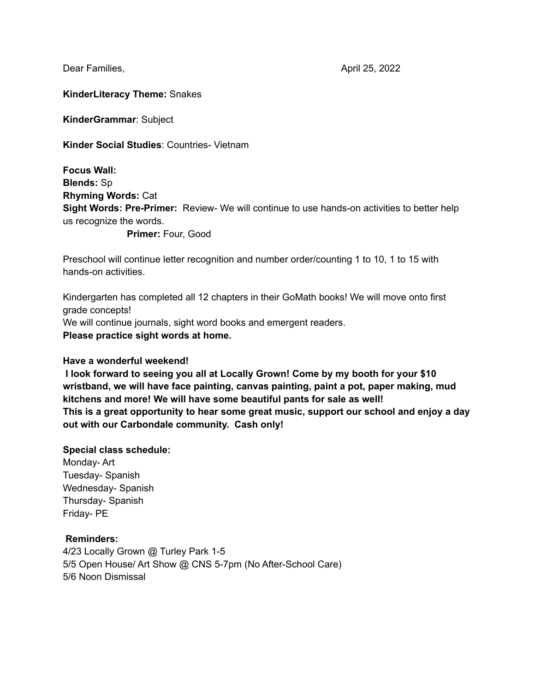Dear Families, **April 25, 2022** 

### **KinderLiteracy Theme:** Snakes

**KinderGrammar**: Subject

**Kinder Social Studies**: Countries- Vietnam

**Focus Wall: Blends:** Sp **Rhyming Words:** Cat **Sight Words: Pre-Primer:** Review- We will continue to use hands-on activities to better help us recognize the words.

**Primer:** Four, Good

Preschool will continue letter recognition and number order/counting 1 to 10, 1 to 15 with hands-on activities.

Kindergarten has completed all 12 chapters in their GoMath books! We will move onto first grade concepts! We will continue journals, sight word books and emergent readers.

**Please practice sight words at home.**

### **Have a wonderful weekend!**

**I look forward to seeing you all at Locally Grown! Come by my booth for your \$10 wristband, we will have face painting, canvas painting, paint a pot, paper making, mud kitchens and more! We will have some beautiful pants for sale as well! This is a great opportunity to hear some great music, support our school and enjoy a day out with our Carbondale community. Cash only!**

## **Special class schedule:** Monday- Art

Tuesday- Spanish Wednesday- Spanish Thursday- Spanish Friday- PE

### **Reminders:**

4/23 Locally Grown @ Turley Park 1-5 5/5 Open House/ Art Show @ CNS 5-7pm (No After-School Care) 5/6 Noon Dismissal